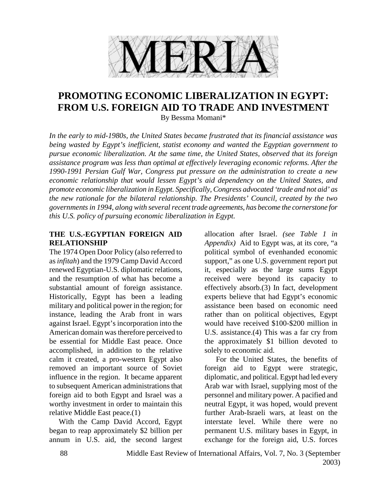

# **PROMOTING ECONOMIC LIBERALIZATION IN EGYPT: FROM U.S. FOREIGN AID TO TRADE AND INVESTMENT**

By Bessma Momani\*

*In the early to mid-1980s, the United States became frustrated that its financial assistance was being wasted by Egypt's inefficient, statist economy and wanted the Egyptian government to pursue economic liberalization. At the same time, the United States, observed that its foreign assistance program was less than optimal at effectively leveraging economic reforms. After the 1990-1991 Persian Gulf War, Congress put pressure on the administration to create a new economic relationship that would lessen Egypt's aid dependency on the United States, and promote economic liberalization in Egypt. Specifically, Congress advocated 'trade and not aid' as the new rationale for the bilateral relationship. The Presidents' Council, created by the two governments in 1994, along with several recent trade agreements, has become the cornerstone for this U.S. policy of pursuing economic liberalization in Egypt.* 

#### **THE U.S.-EGYPTIAN FOREIGN AID RELATIONSHIP**

The 1974 Open Door Policy (also referred to as *infitah*) and the 1979 Camp David Accord renewed Egyptian-U.S. diplomatic relations, and the resumption of what has become a substantial amount of foreign assistance. Historically, Egypt has been a leading military and political power in the region; for instance, leading the Arab front in wars against Israel. Egypt's incorporation into the American domain was therefore perceived to be essential for Middle East peace. Once accomplished, in addition to the relative calm it created, a pro-western Egypt also removed an important source of Soviet influence in the region. It became apparent to subsequent American administrations that foreign aid to both Egypt and Israel was a worthy investment in order to maintain this relative Middle East peace.(1)

 With the Camp David Accord, Egypt began to reap approximately \$2 billion per annum in U.S. aid, the second largest

allocation after Israel. *(see Table 1 in Appendix)* Aid to Egypt was, at its core, "a political symbol of evenhanded economic support," as one U.S. government report put it, especially as the large sums Egypt received were beyond its capacity to effectively absorb.(3) In fact, development experts believe that had Egypt's economic assistance been based on economic need rather than on political objectives, Egypt would have received \$100-\$200 million in U.S. assistance.(4) This was a far cry from the approximately \$1 billion devoted to solely to economic aid.

 For the United States, the benefits of foreign aid to Egypt were strategic, diplomatic, and political. Egypt had led every Arab war with Israel, supplying most of the personnel and military power. A pacified and neutral Egypt, it was hoped, would prevent further Arab-Israeli wars, at least on the interstate level. While there were no permanent U.S. military bases in Egypt, in exchange for the foreign aid, U.S. forces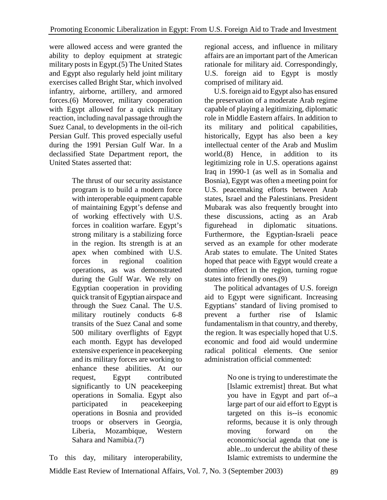were allowed access and were granted the ability to deploy equipment at strategic military posts in Egypt.(5) The United States and Egypt also regularly held joint military exercises called Bright Star, which involved infantry, airborne, artillery, and armored forces.(6) Moreover, military cooperation with Egypt allowed for a quick military reaction, including naval passage through the Suez Canal, to developments in the oil-rich Persian Gulf. This proved especially useful during the 1991 Persian Gulf War. In a declassified State Department report, the United States asserted that:

> The thrust of our security assistance program is to build a modern force with interoperable equipment capable of maintaining Egypt's defense and of working effectively with U.S. forces in coalition warfare. Egypt's strong military is a stabilizing force in the region. Its strength is at an apex when combined with U.S. forces in regional coalition operations, as was demonstrated during the Gulf War. We rely on Egyptian cooperation in providing quick transit of Egyptian airspace and through the Suez Canal. The U.S. military routinely conducts 6-8 transits of the Suez Canal and some 500 military overflights of Egypt each month. Egypt has developed extensive experience in peacekeeping and its military forces are working to enhance these abilities. At our request, Egypt contributed significantly to UN peacekeeping operations in Somalia. Egypt also participated in peacekeeping operations in Bosnia and provided troops or observers in Georgia, Liberia, Mozambique, Western Sahara and Namibia.(7)

regional access, and influence in military affairs are an important part of the American rationale for military aid. Correspondingly, U.S. foreign aid to Egypt is mostly comprised of military aid.

 U.S. foreign aid to Egypt also has ensured the preservation of a moderate Arab regime capable of playing a legitimizing, diplomatic role in Middle Eastern affairs. In addition to its military and political capabilities, historically, Egypt has also been a key intellectual center of the Arab and Muslim world.(8) Hence, in addition to its legitimizing role in U.S. operations against Iraq in 1990-1 (as well as in Somalia and Bosnia), Egypt was often a meeting point for U.S. peacemaking efforts between Arab states, Israel and the Palestinians. President Mubarak was also frequently brought into these discussions, acting as an Arab figurehead in diplomatic situations. Furthermore, the Egyptian-Israeli peace served as an example for other moderate Arab states to emulate. The United States hoped that peace with Egypt would create a domino effect in the region, turning rogue states into friendly ones.(9)

 The political advantages of U.S. foreign aid to Egypt were significant. Increasing Egyptians' standard of living promised to prevent a further rise of Islamic fundamentalism in that country, and thereby, the region. It was especially hoped that U.S. economic and food aid would undermine radical political elements. One senior administration official commented:

> No one is trying to underestimate the [Islamic extremist] threat. But what you have in Egypt and part of--a large part of our aid effort to Egypt is targeted on this is--is economic reforms, because it is only through moving forward on the economic/social agenda that one is able...to undercut the ability of these Islamic extremists to undermine the

To this day, military interoperability,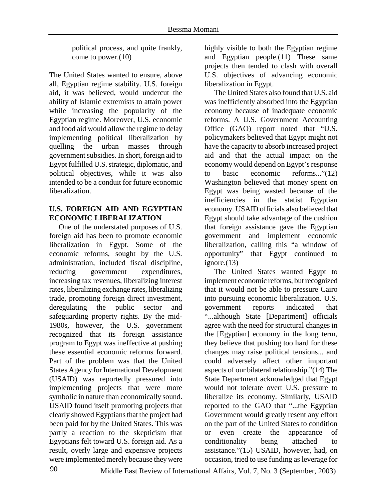political process, and quite frankly, come to power.(10)

The United States wanted to ensure, above all, Egyptian regime stability. U.S. foreign aid, it was believed, would undercut the ability of Islamic extremists to attain power while increasing the popularity of the Egyptian regime. Moreover, U.S. economic and food aid would allow the regime to delay implementing political liberalization by quelling the urban masses through government subsidies. In short, foreign aid to Egypt fulfilled U.S. strategic, diplomatic, and political objectives, while it was also intended to be a conduit for future economic liberalization.

#### **U.S. FOREIGN AID AND EGYPTIAN ECONOMIC LIBERALIZATION**

 One of the understated purposes of U.S. foreign aid has been to promote economic liberalization in Egypt. Some of the economic reforms, sought by the U.S. administration, included fiscal discipline, reducing government expenditures, increasing tax revenues, liberalizing interest rates, liberalizing exchange rates, liberalizing trade, promoting foreign direct investment, deregulating the public sector and safeguarding property rights. By the mid-1980s, however, the U.S. government recognized that its foreign assistance program to Egypt was ineffective at pushing these essential economic reforms forward. Part of the problem was that the United States Agency for International Development (USAID) was reportedly pressured into implementing projects that were more symbolic in nature than economically sound. USAID found itself promoting projects that clearly showed Egyptians that the project had been paid for by the United States. This was partly a reaction to the skepticism that Egyptians felt toward U.S. foreign aid. As a result, overly large and expensive projects were implemented merely because they were

highly visible to both the Egyptian regime and Egyptian people.(11) These same projects then tended to clash with overall U.S. objectives of advancing economic liberalization in Egypt.

 The United States also found that U.S. aid was inefficiently absorbed into the Egyptian economy because of inadequate economic reforms. A U.S. Government Accounting Office (GAO) report noted that "U.S. policymakers believed that Egypt might not have the capacity to absorb increased project aid and that the actual impact on the economy would depend on Egypt's response to basic economic reforms..."(12) Washington believed that money spent on Egypt was being wasted because of the inefficiencies in the statist Egyptian economy. USAID officials also believed that Egypt should take advantage of the cushion that foreign assistance gave the Egyptian government and implement economic liberalization, calling this "a window of opportunity" that Egypt continued to ignore.(13)

 The United States wanted Egypt to implement economic reforms, but recognized that it would not be able to pressure Cairo into pursuing economic liberalization. U.S. government reports indicated that "...although State [Department] officials agree with the need for structural changes in the [Egyptian] economy in the long term, they believe that pushing too hard for these changes may raise political tensions... and could adversely affect other important aspects of our bilateral relationship."(14) The State Department acknowledged that Egypt would not tolerate overt U.S. pressure to liberalize its economy. Similarly, USAID reported to the GAO that "...the Egyptian Government would greatly resent any effort on the part of the United States to condition or even create the appearance of conditionality being attached to assistance."(15) USAID, however, had, on occasion, tried to use funding as leverage for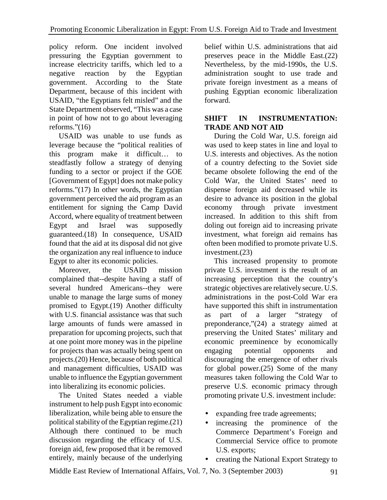policy reform. One incident involved pressuring the Egyptian government to increase electricity tariffs, which led to a negative reaction by the Egyptian government. According to the State Department, because of this incident with USAID, "the Egyptians felt misled" and the State Department observed, "This was a case in point of how not to go about leveraging reforms."(16)

 USAID was unable to use funds as leverage because the "political realities of this program make it difficult… to steadfastly follow a strategy of denying funding to a sector or project if the GOE [Government of Egypt] does not make policy reforms."(17) In other words, the Egyptian government perceived the aid program as an entitlement for signing the Camp David Accord, where equality of treatment between Egypt and Israel was supposedly guaranteed.(18) In consequence, USAID found that the aid at its disposal did not give the organization any real influence to induce Egypt to alter its economic policies.

 Moreover, the USAID mission complained that--despite having a staff of several hundred Americans--they were unable to manage the large sums of money promised to Egypt.(19) Another difficulty with U.S. financial assistance was that such large amounts of funds were amassed in preparation for upcoming projects, such that at one point more money was in the pipeline for projects than was actually being spent on projects.(20) Hence, because of both political and management difficulties, USAID was unable to influence the Egyptian government into liberalizing its economic policies.

 The United States needed a viable instrument to help push Egypt into economic liberalization, while being able to ensure the political stability of the Egyptian regime.(21) Although there continued to be much discussion regarding the efficacy of U.S. foreign aid, few proposed that it be removed entirely, mainly because of the underlying

belief within U.S. administrations that aid preserves peace in the Middle East.(22) Nevertheless, by the mid-1990s, the U.S. administration sought to use trade and private foreign investment as a means of pushing Egyptian economic liberalization forward.

## **SHIFT IN INSTRUMENTATION: TRADE AND NOT AID**

 During the Cold War, U.S. foreign aid was used to keep states in line and loyal to U.S. interests and objectives. As the notion of a country defecting to the Soviet side became obsolete following the end of the Cold War, the United States' need to dispense foreign aid decreased while its desire to advance its position in the global economy through private investment increased. In addition to this shift from doling out foreign aid to increasing private investment, what foreign aid remains has often been modified to promote private U.S. investment.(23)

 This increased propensity to promote private U.S. investment is the result of an increasing perception that the country's strategic objectives are relatively secure. U.S. administrations in the post-Cold War era have supported this shift in instrumentation as part of a larger "strategy of preponderance,"(24) a strategy aimed at preserving the United States' military and economic preeminence by economically engaging potential opponents and discouraging the emergence of other rivals for global power.(25) Some of the many measures taken following the Cold War to preserve U.S. economic primacy through promoting private U.S. investment include:

- expanding free trade agreements;
- increasing the prominence of the Commerce Department's Foreign and Commercial Service office to promote U.S. exports;
- creating the National Export Strategy to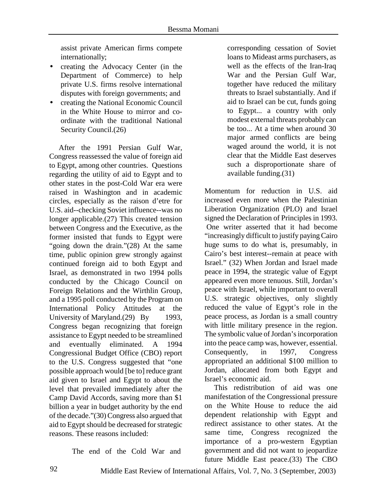assist private American firms compete internationally;

- creating the Advocacy Center (in the Department of Commerce) to help private U.S. firms resolve international disputes with foreign governments; and
- creating the National Economic Council in the White House to mirror and coordinate with the traditional National Security Council.(26)

 After the 1991 Persian Gulf War, Congress reassessed the value of foreign aid to Egypt, among other countries. Questions regarding the utility of aid to Egypt and to other states in the post-Cold War era were raised in Washington and in academic circles, especially as the raison d'etre for U.S. aid--checking Soviet influence--was no longer applicable.(27) This created tension between Congress and the Executive, as the former insisted that funds to Egypt were "going down the drain."(28) At the same time, public opinion grew strongly against continued foreign aid to both Egypt and Israel, as demonstrated in two 1994 polls conducted by the Chicago Council on Foreign Relations and the Wirthlin Group, and a 1995 poll conducted by the Program on International Policy Attitudes at the University of Maryland.(29) By 1993, Congress began recognizing that foreign assistance to Egypt needed to be streamlined and eventually eliminated. A 1994 Congressional Budget Office (CBO) report to the U.S. Congress suggested that "one possible approach would [be to] reduce grant aid given to Israel and Egypt to about the level that prevailed immediately after the Camp David Accords, saving more than \$1 billion a year in budget authority by the end of the decade."(30) Congress also argued that aid to Egypt should be decreased for strategic reasons. These reasons included:

The end of the Cold War and

corresponding cessation of Soviet loans to Mideast arms purchasers, as well as the effects of the Iran-Iraq War and the Persian Gulf War, together have reduced the military threats to Israel substantially. And if aid to Israel can be cut, funds going to Egypt... a country with only modest external threats probably can be too... At a time when around 30 major armed conflicts are being waged around the world, it is not clear that the Middle East deserves such a disproportionate share of available funding.(31)

Momentum for reduction in U.S. aid increased even more when the Palestinian Liberation Organization (PLO) and Israel signed the Declaration of Principles in 1993. One writer asserted that it had become "increasingly difficult to justify paying Cairo huge sums to do what is, presumably, in Cairo's best interest--remain at peace with Israel." (32) When Jordan and Israel made peace in 1994, the strategic value of Egypt appeared even more tenuous. Still, Jordan's peace with Israel, while important to overall U.S. strategic objectives, only slightly reduced the value of Egypt's role in the peace process, as Jordan is a small country with little military presence in the region. The symbolic value of Jordan's incorporation into the peace camp was, however, essential. Consequently, in 1997, Congress appropriated an additional \$100 million to Jordan, allocated from both Egypt and Israel's economic aid.

 This redistribution of aid was one manifestation of the Congressional pressure on the White House to reduce the aid dependent relationship with Egypt and redirect assistance to other states. At the same time, Congress recognized the importance of a pro-western Egyptian government and did not want to jeopardize future Middle East peace.(33) The CBO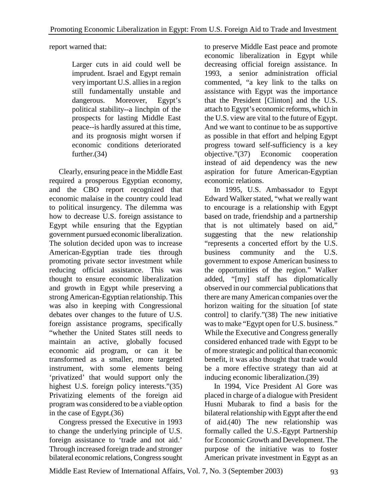report warned that:

Larger cuts in aid could well be imprudent. Israel and Egypt remain very important U.S. allies in a region still fundamentally unstable and dangerous. Moreover, Egypt's political stability--a linchpin of the prospects for lasting Middle East peace--is hardly assured at this time, and its prognosis might worsen if economic conditions deteriorated further.(34)

 Clearly, ensuring peace in the Middle East required a prosperous Egyptian economy, and the CBO report recognized that economic malaise in the country could lead to political insurgency. The dilemma was how to decrease U.S. foreign assistance to Egypt while ensuring that the Egyptian government pursued economic liberalization. The solution decided upon was to increase American-Egyptian trade ties through promoting private sector investment while reducing official assistance. This was thought to ensure economic liberalization and growth in Egypt while preserving a strong American-Egyptian relationship. This was also in keeping with Congressional debates over changes to the future of U.S. foreign assistance programs, specifically "whether the United States still needs to maintain an active, globally focused economic aid program, or can it be transformed as a smaller, more targeted instrument, with some elements being 'privatized' that would support only the highest U.S. foreign policy interests."(35) Privatizing elements of the foreign aid program was considered to be a viable option in the case of Egypt.(36)

 Congress pressed the Executive in 1993 to change the underlying principle of U.S. foreign assistance to 'trade and not aid.' Through increased foreign trade and stronger bilateral economic relations, Congress sought

to preserve Middle East peace and promote economic liberalization in Egypt while decreasing official foreign assistance. In 1993, a senior administration official commented, "a key link to the talks on assistance with Egypt was the importance that the President [Clinton] and the U.S. attach to Egypt's economic reforms, which in the U.S. view are vital to the future of Egypt. And we want to continue to be as supportive as possible in that effort and helping Egypt progress toward self-sufficiency is a key objective."(37) Economic cooperation instead of aid dependency was the new aspiration for future American-Egyptian economic relations.

 In 1995, U.S. Ambassador to Egypt Edward Walker stated, "what we really want to encourage is a relationship with Egypt based on trade, friendship and a partnership that is not ultimately based on aid," suggesting that the new relationship "represents a concerted effort by the U.S. business community and the U.S. government to expose American business to the opportunities of the region." Walker added, "[my] staff has diplomatically observed in our commercial publications that there are many American companies over the horizon waiting for the situation [of state control] to clarify."(38) The new initiative was to make "Egypt open for U.S. business." While the Executive and Congress generally considered enhanced trade with Egypt to be of more strategic and political than economic benefit, it was also thought that trade would be a more effective strategy than aid at inducing economic liberalization.(39)

 In 1994, Vice President Al Gore was placed in charge of a dialogue with President Husni Mubarak to find a basis for the bilateral relationship with Egypt after the end of aid.(40) The new relationship was formally called the U.S.-Egypt Partnership for Economic Growth and Development. The purpose of the initiative was to foster American private investment in Egypt as an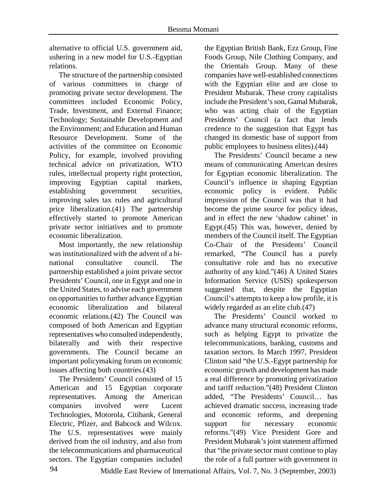alternative to official U.S. government aid, ushering in a new model for U.S.-Egyptian relations.

 The structure of the partnership consisted of various committees in charge of promoting private sector development. The committees included Economic Policy, Trade, Investment, and External Finance; Technology; Sustainable Development and the Environment; and Education and Human Resource Development. Some of the activities of the committee on Economic Policy, for example, involved providing technical advice on privatization, WTO rules, intellectual property right protection, improving Egyptian capital markets, establishing government securities, improving sales tax rules and agricultural price liberalization.(41) The partnership effectively started to promote American private sector initiatives and to promote economic liberalization.

 Most importantly, the new relationship was institutionalized with the advent of a binational consultative council. The partnership established a joint private sector Presidents' Council, one in Egypt and one in the United States, to advise each government on opportunities to further advance Egyptian economic liberalization and bilateral economic relations.(42) The Council was composed of both American and Egyptian representatives who consulted independently, bilaterally and with their respective governments. The Council became an important policymaking forum on economic issues affecting both countries.(43)

 The Presidents' Council consisted of 15 American and 15 Egyptian corporate representatives. Among the American companies involved were Lucent Technologies, Motorola, Citibank, General Electric, Pfizer, and Babcock and Wilcox. The U.S. representatives were mainly derived from the oil industry, and also from the telecommunications and pharmaceutical sectors. The Egyptian companies included

the Egyptian British Bank, Ezz Group, Fine Foods Group, Nile Clothing Company, and the Orientals Group. Many of these companies have well-established connections with the Egyptian elite and are close to President Mubarak. These crony capitalists include the President's son, Gamal Mubarak, who was acting chair of the Egyptian Presidents' Council (a fact that lends credence to the suggestion that Egypt has changed its domestic base of support from public employees to business elites).(44)

 The Presidents' Council became a new means of communicating American desires for Egyptian economic liberalization. The Council's influence in shaping Egyptian economic policy is evident. Public impression of the Council was that it had become the prime source for policy ideas, and in effect the new 'shadow cabinet' in Egypt.(45) This was, however, denied by members of the Council itself. The Egyptian Co-Chair of the Presidents' Council remarked, "The Council has a purely consultative role and has no executive authority of any kind."(46) A United States Information Service (USIS) spokesperson suggested that, despite the Egyptian Council's attempts to keep a low profile, it is widely regarded as an elite club.(47)

 The Presidents' Council worked to advance many structural economic reforms, such as helping Egypt to privatize the telecommunications, banking, customs and taxation sectors. In March 1997, President Clinton said "the U.S.-Egypt partnership for economic growth and development has made a real difference by promoting privatization and tariff reduction."(48) President Clinton added, "The Presidents' Council… has achieved dramatic success, increasing trade and economic reforms, and deepening support for necessary economic reforms."(49) Vice President Gore and President Mubarak's joint statement affirmed that "the private sector must continue to play the role of a full partner with government in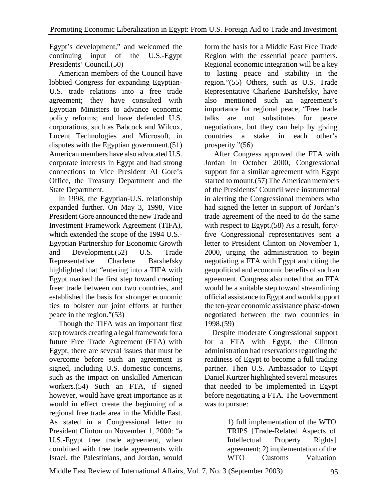Egypt's development," and welcomed the continuing input of the U.S.-Egypt Presidents' Council.(50)

 American members of the Council have lobbied Congress for expanding Egyptian-U.S. trade relations into a free trade agreement; they have consulted with Egyptian Ministers to advance economic policy reforms; and have defended U.S. corporations, such as Babcock and Wilcox, Lucent Technologies and Microsoft, in disputes with the Egyptian government.(51) American members have also advocated U.S. corporate interests in Egypt and had strong connections to Vice President Al Gore's Office, the Treasury Department and the State Department.

 In 1998, the Egyptian-U.S. relationship expanded further. On May 3, 1998, Vice President Gore announced the new Trade and Investment Framework Agreement (TIFA), which extended the scope of the 1994 U.S.- Egyptian Partnership for Economic Growth and Development.(52) U.S. Trade Representative Charlene Barshefsky highlighted that "entering into a TIFA with Egypt marked the first step toward creating freer trade between our two countries, and established the basis for stronger economic ties to bolster our joint efforts at further peace in the region."(53)

 Though the TIFA was an important first step towards creating a legal framework for a future Free Trade Agreement (FTA) with Egypt, there are several issues that must be overcome before such an agreement is signed, including U.S. domestic concerns, such as the impact on unskilled American workers.(54) Such an FTA, if signed however, would have great importance as it would in effect create the beginning of a regional free trade area in the Middle East. As stated in a Congressional letter to President Clinton on November 1, 2000: "a U.S.-Egypt free trade agreement, when combined with free trade agreements with Israel, the Palestinians, and Jordan, would

form the basis for a Middle East Free Trade Region with the essential peace partners. Regional economic integration will be a key to lasting peace and stability in the region."(55) Others, such as U.S. Trade Representative Charlene Barshefsky, have also mentioned such an agreement's importance for regional peace, "Free trade talks are not substitutes for peace negotiations, but they can help by giving countries a stake in each other's prosperity."(56)

 After Congress approved the FTA with Jordan in October 2000, Congressional support for a similar agreement with Egypt started to mount.(57) The American members of the Presidents' Council were instrumental in alerting the Congressional members who had signed the letter in support of Jordan's trade agreement of the need to do the same with respect to Egypt.(58) As a result, fortyfive Congressional representatives sent a letter to President Clinton on November 1, 2000, urging the administration to begin negotiating a FTA with Egypt and citing the geopolitical and economic benefits of such an agreement. Congress also noted that an FTA would be a suitable step toward streamlining official assistance to Egypt and would support the ten-year economic assistance phase-down negotiated between the two countries in 1998.(59)

 Despite moderate Congressional support for a FTA with Egypt, the Clinton administration had reservations regarding the readiness of Egypt to become a full trading partner. Then U.S. Ambassador to Egypt Daniel Kurtzer highlighted several measures that needed to be implemented in Egypt before negotiating a FTA. The Government was to pursue:

> 1) full implementation of the WTO TRIPS [Trade-Related Aspects of Intellectual Property Rights] agreement; 2) implementation of the WTO Customs Valuation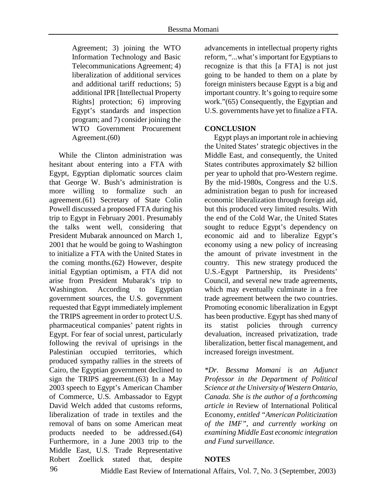Agreement; 3) joining the WTO Information Technology and Basic Telecommunications Agreement; 4) liberalization of additional services and additional tariff reductions; 5) additional IPR [Intellectual Property Rights] protection; 6) improving Egypt's standards and inspection program; and 7) consider joining the WTO Government Procurement Agreement.(60)

 While the Clinton administration was hesitant about entering into a FTA with Egypt, Egyptian diplomatic sources claim that George W. Bush's administration is more willing to formalize such an agreement.(61) Secretary of State Colin Powell discussed a proposed FTA during his trip to Egypt in February 2001. Presumably the talks went well, considering that President Mubarak announced on March 1, 2001 that he would be going to Washington to initialize a FTA with the United States in the coming months.(62) However, despite initial Egyptian optimism, a FTA did not arise from President Mubarak's trip to Washington. According to Egyptian government sources, the U.S. government requested that Egypt immediately implement the TRIPS agreement in order to protect U.S. pharmaceutical companies' patent rights in Egypt. For fear of social unrest, particularly following the revival of uprisings in the Palestinian occupied territories, which produced sympathy rallies in the streets of Cairo, the Egyptian government declined to sign the TRIPS agreement.(63) In a May 2003 speech to Egypt's American Chamber of Commerce, U.S. Ambassador to Egypt David Welch added that customs reforms, liberalization of trade in textiles and the removal of bans on some American meat products needed to be addressed.(64) Furthermore, in a June 2003 trip to the Middle East, U.S. Trade Representative Robert Zoellick stated that, despite

advancements in intellectual property rights reform, "...what's important for Egyptians to recognize is that this [a FTA] is not just going to be handed to them on a plate by foreign ministers because Egypt is a big and important country. It's going to require some work."(65) Consequently, the Egyptian and U.S. governments have yet to finalize a FTA.

#### **CONCLUSION**

 Egypt plays an important role in achieving the United States' strategic objectives in the Middle East, and consequently, the United States contributes approximately \$2 billion per year to uphold that pro-Western regime. By the mid-1980s, Congress and the U.S. administration began to push for increased economic liberalization through foreign aid, but this produced very limited results. With the end of the Cold War, the United States sought to reduce Egypt's dependency on economic aid and to liberalize Egypt's economy using a new policy of increasing the amount of private investment in the country. This new strategy produced the U.S.-Egypt Partnership, its Presidents' Council, and several new trade agreements, which may eventually culminate in a free trade agreement between the two countries. Promoting economic liberalization in Egypt has been productive. Egypt has shed many of its statist policies through currency devaluation, increased privatization, trade liberalization, better fiscal management, and increased foreign investment.

*\*Dr. Bessma Momani is an Adjunct Professor in the Department of Political Science at the University of Western Ontario, Canada. She is the author of a forthcoming article in* Review of International Political Economy*, entitled "American Politicization of the IMF", and currently working on examining Middle East economic integration and Fund surveillance.* 

### **NOTES**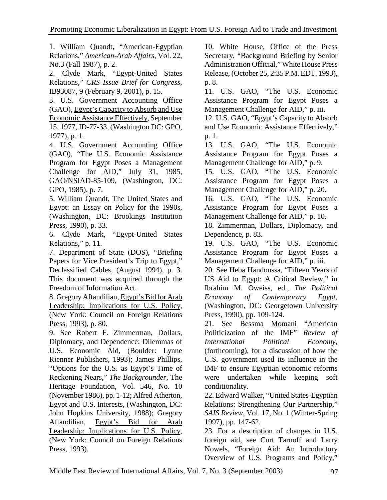1. William Quandt, "American-Egyptian Relations," *American-Arab Affairs*, Vol. 22, No.3 (Fall 1987), p. 2.

2. Clyde Mark, "Egypt-United States Relations," *CRS Issue Brief for Congress*, IB93087, 9 (February 9, 2001), p. 15.

3. U.S. Government Accounting Office (GAO), Egypt's Capacity to Absorb and Use Economic Assistance Effectively, September 15, 1977, ID-77-33, (Washington DC: GPO, 1977), p. 1.

4. U.S. Government Accounting Office (GAO), "The U.S. Economic Assistance Program for Egypt Poses a Management Challenge for AID," July 31, 1985, GAO/NSIAD-85-109, (Washington, DC: GPO, 1985), p. 7.

5. William Quandt, The United States and Egypt: an Essay on Policy for the 1990s, (Washington, DC: Brookings Institution Press, 1990), p. 33.

6. Clyde Mark, "Egypt-United States Relations," p. 11.

7. Department of State (DOS), "Briefing Papers for Vice President's Trip to Egypt," Declassified Cables, (August 1994), p. 3.

This document was acquired through the Freedom of Information Act.

8. Gregory Aftandilian, Egypt's Bid for Arab Leadership: Implications for U.S. Policy, (New York: Council on Foreign Relations Press, 1993), p. 80.

9. See Robert F. Zimmerman, Dollars, Diplomacy, and Dependence: Dilemmas of U.S. Economic Aid, (Boulder: Lynne Rienner Publishers, 1993); James Phillips, "Options for the U.S. as Egypt's Time of Reckoning Nears," *The Backgrounder*, The Heritage Foundation, Vol. 546, No. 10 (November 1986), pp. 1-12; Alfred Atherton, Egypt and U.S. Interests, (Washington, DC: John Hopkins University, 1988); Gregory Aftandilian, Egypt's Bid for Arab Leadership: Implications for U.S. Policy, (New York: Council on Foreign Relations Press, 1993).

10. White House, Office of the Press Secretary, "Background Briefing by Senior Administration Official," White House Press Release, (October 25, 2:35 P.M. EDT. 1993), p. 8.

11. U.S. GAO, "The U.S. Economic Assistance Program for Egypt Poses a Management Challenge for AID," p. iii.

12. U.S. GAO, "Egypt's Capacity to Absorb and Use Economic Assistance Effectively," p. 1.

13. U.S. GAO, "The U.S. Economic Assistance Program for Egypt Poses a Management Challenge for AID," p. 9.

15. U.S. GAO, "The U.S. Economic Assistance Program for Egypt Poses a Management Challenge for AID," p. 20.

16. U.S. GAO, "The U.S. Economic Assistance Program for Egypt Poses a Management Challenge for AID," p. 10.

18. Zimmerman, Dollars, Diplomacy, and Dependence, p. 83.

19. U.S. GAO, "The U.S. Economic Assistance Program for Egypt Poses a Management Challenge for AID," p. iii.

20. See Heba Handoussa, "Fifteen Years of US Aid to Egypt: A Critical Review," in Ibrahim M. Oweiss, ed., *The Political Economy of Contemporary Egypt*, (Washington, DC: Georgetown University Press, 1990), pp. 109-124.

21. See Bessma Momani "American Politicization of the IMF" *Review of International Political Economy*, (forthcoming), for a discussion of how the U.S. government used its influence in the IMF to ensure Egyptian economic reforms were undertaken while keeping soft conditionality.

22. Edward Walker, "United States-Egyptian Relations: Strengthening Our Partnership," *SAIS Review*, Vol. 17, No. 1 (Winter-Spring 1997), pp. 147-62.

23. For a description of changes in U.S. foreign aid, see Curt Tarnoff and Larry Nowels, "Foreign Aid: An Introductory Overview of U.S. Programs and Policy,"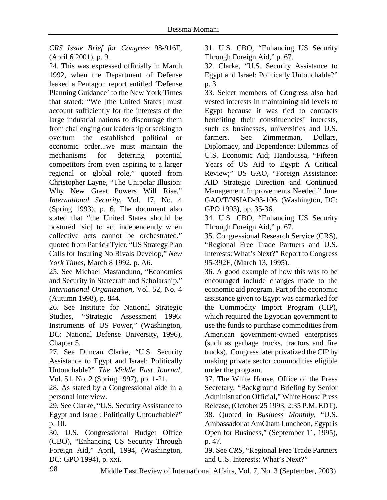*CRS Issue Brief for Congress* 98-916F, (April 6 2001), p. 9.

24. This was expressed officially in March 1992, when the Department of Defense leaked a Pentagon report entitled 'Defense Planning Guidance' to the New York Times that stated: "We [the United States] must account sufficiently for the interests of the large industrial nations to discourage them from challenging our leadership or seeking to overturn the established political or economic order...we must maintain the mechanisms for deterring potential competitors from even aspiring to a larger regional or global role," quoted from Christopher Layne, "The Unipolar Illusion: Why New Great Powers Will Rise," *International Security*, Vol. 17, No. 4 (Spring 1993), p. 6. The document also stated that "the United States should be postured [sic] to act independently when collective acts cannot be orchestrated," quoted from Patrick Tyler, "US Strategy Plan Calls for Insuring No Rivals Develop," *New York Times*, March 8 1992, p. A6.

25. See Michael Mastanduno, "Economics and Security in Statecraft and Scholarship," *International Organization*, Vol. 52, No. 4 (Autumn 1998), p. 844.

26. See Institute for National Strategic Studies, "Strategic Assessment 1996: Instruments of US Power," (Washington, DC: National Defense University, 1996), Chapter 5.

27. See Duncan Clarke, "U.S. Security Assistance to Egypt and Israel: Politically Untouchable?" *The Middle East Journal*, Vol. 51, No. 2 (Spring 1997), pp. 1-21.

28. As stated by a Congressional aide in a personal interview.

29. See Clarke, "U.S. Security Assistance to Egypt and Israel: Politically Untouchable?" p. 10.

30. U.S. Congressional Budget Office (CBO), "Enhancing US Security Through Foreign Aid," April, 1994, (Washington, DC: GPO 1994), p. xxi.

31. U.S. CBO, "Enhancing US Security Through Foreign Aid," p. 67.

32. Clarke, "U.S. Security Assistance to Egypt and Israel: Politically Untouchable?" p. 3.

33. Select members of Congress also had vested interests in maintaining aid levels to Egypt because it was tied to contracts benefiting their constituencies' interests, such as businesses, universities and U.S. farmers. See Zimmerman, Dollars, Diplomacy, and Dependence: Dilemmas of U.S. Economic Aid; Handoussa, "Fifteen Years of US Aid to Egypt: A Critical Review;" US GAO, "Foreign Assistance: AID Strategic Direction and Continued Management Improvements Needed," June GAO/T/NSIAD-93-106. (Washington, DC: GPO 1993), pp. 35-36.

34. U.S. CBO, "Enhancing US Security Through Foreign Aid," p. 67.

35. Congressional Research Service (CRS), "Regional Free Trade Partners and U.S. Interests: What's Next?" Report to Congress 95-392F, (March 13, 1995).

36. A good example of how this was to be encouraged include changes made to the economic aid program. Part of the economic assistance given to Egypt was earmarked for the Commodity Import Program (CIP), which required the Egyptian government to use the funds to purchase commodities from American government-owned enterprises (such as garbage trucks, tractors and fire trucks). Congress later privatized the CIP by making private sector commodities eligible under the program.

37. The White House, Office of the Press Secretary, "Background Briefing by Senior Administration Official," White House Press Release, (October 25 1993, 2:35 P.M. EDT). 38. Quoted in *Business Monthly*, "U.S. Ambassador at AmCham Luncheon, Egypt is Open for Business," (September 11, 1995), p. 47.

39. See *CRS*, "Regional Free Trade Partners and U.S. Interests: What's Next?"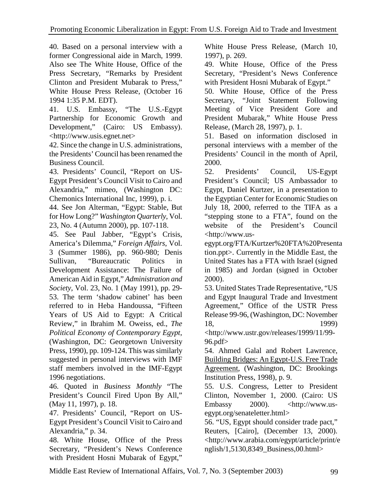40. Based on a personal interview with a former Congressional aide in March, 1999. Also see The White House, Office of the Press Secretary, "Remarks by President Clinton and President Mubarak to Press," White House Press Release, (October 16 1994 1:35 P.M. EDT).

41. U.S. Embassy, "The U.S.-Egypt Partnership for Economic Growth and Development," (Cairo: US Embassy). <http://www.usis.egnet.net>

42. Since the change in U.S. administrations, the Presidents' Council has been renamed the Business Council.

43. Presidents' Council, "Report on US-Egypt President's Council Visit to Cairo and Alexandria," mimeo, (Washington DC: Chemonics International Inc, 1999), p. i.

44. See Jon Alterman, "Egypt: Stable, But for How Long?" *Washington Quarterly*, Vol. 23, No. 4 (Autumn 2000), pp. 107-118.

45. See Paul Jabber, "Egypt's Crisis, America's Dilemma," *Foreign Affairs*, Vol. 3 (Summer 1986), pp. 960-980; Denis Sullivan, "Bureaucratic Politics in Development Assistance: The Failure of American Aid in Egypt," *Administration and Society*, Vol. 23, No. 1 (May 1991), pp. 29- 53. The term 'shadow cabinet' has been referred to in Heba Handoussa, "Fifteen Years of US Aid to Egypt: A Critical Review," in Ibrahim M. Oweiss, ed., *The Political Economy of Contemporary Egypt*, (Washington, DC: Georgetown University Press, 1990), pp. 109-124. This was similarly suggested in personal interviews with IMF staff members involved in the IMF-Egypt 1996 negotiations.

46. Quoted in *Business Monthly* "The President's Council Fired Upon By All," (May 11, 1997), p. 18.

47. Presidents' Council, "Report on US-Egypt President's Council Visit to Cairo and Alexandria," p. 34.

48. White House, Office of the Press Secretary, "President's News Conference with President Hosni Mubarak of Egypt," White House Press Release, (March 10, 1997), p. 269.

49. White House, Office of the Press Secretary, "President's News Conference with President Hosni Mubarak of Egypt."

50. White House, Office of the Press Secretary, "Joint Statement Following Meeting of Vice President Gore and President Mubarak," White House Press Release, (March 28, 1997), p. 1.

51. Based on information disclosed in personal interviews with a member of the Presidents' Council in the month of April, 2000.

52. Presidents' Council, US-Egypt President's Council; US Ambassador to Egypt, Daniel Kurtzer, in a presentation to the Egyptian Center for Economic Studies on July 18, 2000, referred to the TIFA as a "stepping stone to a FTA", found on the website of the President's Council <http://www.us-

egypt.org/FTA/Kurtzer%20FTA%20Presenta tion.ppt>. Currently in the Middle East, the United States has a FTA with Israel (signed in 1985) and Jordan (signed in October 2000).

53. United States Trade Representative, "US and Egypt Inaugural Trade and Investment Agreement," Office of the USTR Press Release 99-96, (Washington, DC: November 18, 1999)

<http://www.ustr.gov/releases/1999/11/99- 96.pdf>

54. Ahmed Galal and Robert Lawrence, Building Bridges: An Egypt-U.S. Free Trade Agreement, (Washington, DC: Brookings Institution Press, 1998), p. 9.

55. U.S. Congress, Letter to President Clinton, November 1, 2000. (Cairo: US Embassy 2000). <http://www.usegypt.org/senateletter.html>

56. "US, Egypt should consider trade pact," Reuters, [Cairo], (December 13, 2000). <http://www.arabia.com/egypt/article/print/e nglish/1,5130,8349\_Business,00.html>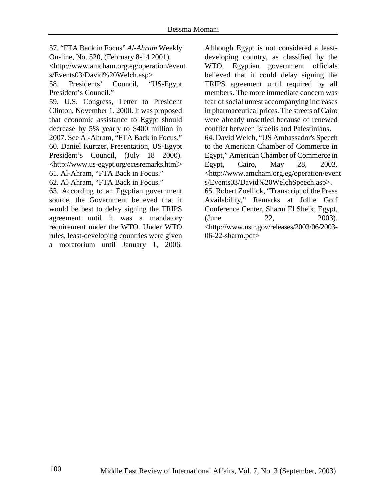57. "FTA Back in Focus" *Al-Ahram* Weekly On-line, No. 520, (February 8-14 2001). <http://www.amcham.org.eg/operation/event s/Events03/David%20Welch.asp>

58. Presidents' Council, "US-Egypt President's Council."

59. U.S. Congress, Letter to President Clinton, November 1, 2000. It was proposed that economic assistance to Egypt should decrease by 5% yearly to \$400 million in 2007. See Al-Ahram, "FTA Back in Focus." 60. Daniel Kurtzer, Presentation, US-Egypt President's Council, (July 18 2000). <http://www.us-egypt.org/ecesremarks.html> 61. Al-Ahram, "FTA Back in Focus."

62. Al-Ahram, "FTA Back in Focus."

63. According to an Egyptian government source, the Government believed that it would be best to delay signing the TRIPS agreement until it was a mandatory requirement under the WTO. Under WTO rules, least-developing countries were given a moratorium until January 1, 2006.

Although Egypt is not considered a leastdeveloping country, as classified by the WTO, Egyptian government officials believed that it could delay signing the TRIPS agreement until required by all members. The more immediate concern was fear of social unrest accompanying increases in pharmaceutical prices. The streets of Cairo were already unsettled because of renewed conflict between Israelis and Palestinians. 64. David Welch, "US Ambassador's Speech to the American Chamber of Commerce in Egypt," American Chamber of Commerce in Egypt, Cairo, May 28, 2003. <http://www.amcham.org.eg/operation/event s/Events03/David%20WelchSpeech.asp>. 65. Robert Zoellick, "Transcript of the Press Availability," Remarks at Jollie Golf Conference Center, Sharm El Sheik, Egypt,  $(June 22, 2003).$ <http://www.ustr.gov/releases/2003/06/2003- 06-22-sharm.pdf>